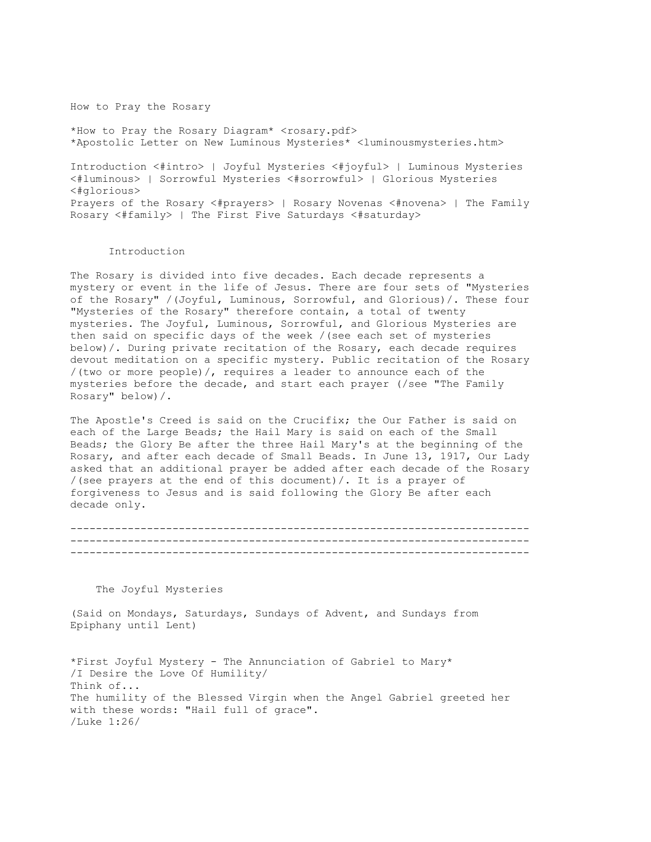How to Pray the Rosary

\*How to Pray the Rosary Diagram\* <rosary.pdf> \*Apostolic Letter on New Luminous Mysteries\* <luminousmysteries.htm>

Introduction <#intro> | Joyful Mysteries <#joyful> | Luminous Mysteries <#luminous> | Sorrowful Mysteries <#sorrowful> | Glorious Mysteries <#glorious> Prayers of the Rosary <#prayers> | Rosary Novenas <#novena> | The Family Rosary <#family> | The First Five Saturdays <#saturday>

## Introduction

The Rosary is divided into five decades. Each decade represents a mystery or event in the life of Jesus. There are four sets of "Mysteries of the Rosary" /(Joyful, Luminous, Sorrowful, and Glorious)/. These four "Mysteries of the Rosary" therefore contain, a total of twenty mysteries. The Joyful, Luminous, Sorrowful, and Glorious Mysteries are then said on specific days of the week /(see each set of mysteries below)/. During private recitation of the Rosary, each decade requires devout meditation on a specific mystery. Public recitation of the Rosary /(two or more people)/, requires a leader to announce each of the mysteries before the decade, and start each prayer (/see "The Family Rosary" below)/.

The Apostle's Creed is said on the Crucifix; the Our Father is said on each of the Large Beads; the Hail Mary is said on each of the Small Beads; the Glory Be after the three Hail Mary's at the beginning of the Rosary, and after each decade of Small Beads. In June 13, 1917, Our Lady asked that an additional prayer be added after each decade of the Rosary /(see prayers at the end of this document)/. It is a prayer of forgiveness to Jesus and is said following the Glory Be after each decade only.

```
------------------------------------------------------------------------
------------------------------------------------------------------------
------------------------------------------------------------------------
```
The Joyful Mysteries

(Said on Mondays, Saturdays, Sundays of Advent, and Sundays from Epiphany until Lent)

\*First Joyful Mystery - The Annunciation of Gabriel to Mary\* /I Desire the Love Of Humility/ Think of... The humility of the Blessed Virgin when the Angel Gabriel greeted her with these words: "Hail full of grace". /Luke 1:26/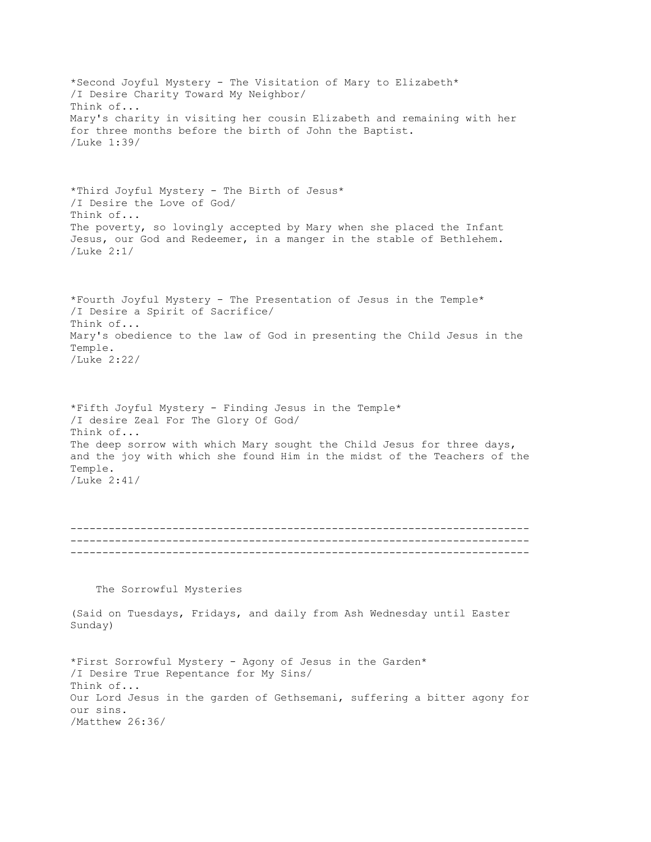\*Second Joyful Mystery - The Visitation of Mary to Elizabeth\* /I Desire Charity Toward My Neighbor/ Think of... Mary's charity in visiting her cousin Elizabeth and remaining with her for three months before the birth of John the Baptist. /Luke 1:39/ \*Third Joyful Mystery - The Birth of Jesus\* /I Desire the Love of God/ Think of... The poverty, so lovingly accepted by Mary when she placed the Infant Jesus, our God and Redeemer, in a manger in the stable of Bethlehem. /Luke 2:1/ \*Fourth Joyful Mystery - The Presentation of Jesus in the Temple\* /I Desire a Spirit of Sacrifice/ Think of... Mary's obedience to the law of God in presenting the Child Jesus in the Temple. /Luke 2:22/ \*Fifth Joyful Mystery - Finding Jesus in the Temple\* /I desire Zeal For The Glory Of God/ Think of... The deep sorrow with which Mary sought the Child Jesus for three days, and the joy with which she found Him in the midst of the Teachers of the Temple. /Luke 2:41/ ------------------------------------------------------------------------ ------------------------------------------------------------------------ ------------------------------------------------------------------------ The Sorrowful Mysteries (Said on Tuesdays, Fridays, and daily from Ash Wednesday until Easter Sunday) \*First Sorrowful Mystery - Agony of Jesus in the Garden\* /I Desire True Repentance for My Sins/ Think of... Our Lord Jesus in the garden of Gethsemani, suffering a bitter agony for our sins. /Matthew 26:36/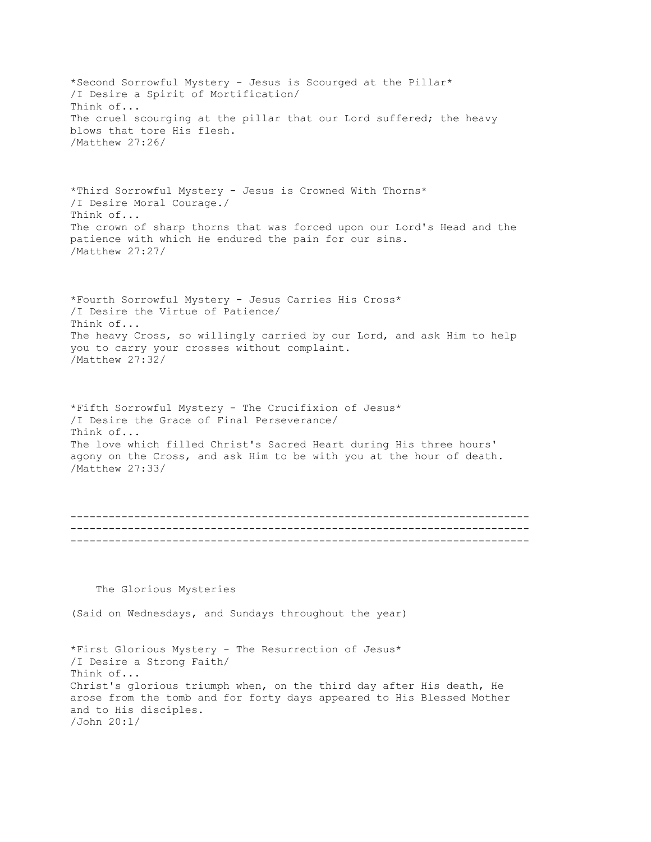\*Second Sorrowful Mystery - Jesus is Scourged at the Pillar\* /I Desire a Spirit of Mortification/ Think of... The cruel scourging at the pillar that our Lord suffered; the heavy blows that tore His flesh. /Matthew 27:26/ \*Third Sorrowful Mystery - Jesus is Crowned With Thorns\* /I Desire Moral Courage./ Think of... The crown of sharp thorns that was forced upon our Lord's Head and the patience with which He endured the pain for our sins. /Matthew 27:27/ \*Fourth Sorrowful Mystery - Jesus Carries His Cross\* /I Desire the Virtue of Patience/ Think of... The heavy Cross, so willingly carried by our Lord, and ask Him to help you to carry your crosses without complaint. /Matthew 27:32/ \*Fifth Sorrowful Mystery - The Crucifixion of Jesus\* /I Desire the Grace of Final Perseverance/ Think of... The love which filled Christ's Sacred Heart during His three hours' agony on the Cross, and ask Him to be with you at the hour of death. /Matthew 27:33/ ------------------------------------------------------------------------ ------------------------------------------------------------------------ ------------------------------------------------------------------------ The Glorious Mysteries (Said on Wednesdays, and Sundays throughout the year) \*First Glorious Mystery - The Resurrection of Jesus\* /I Desire a Strong Faith/ Think of... Christ's glorious triumph when, on the third day after His death, He arose from the tomb and for forty days appeared to His Blessed Mother and to His disciples. /John 20:1/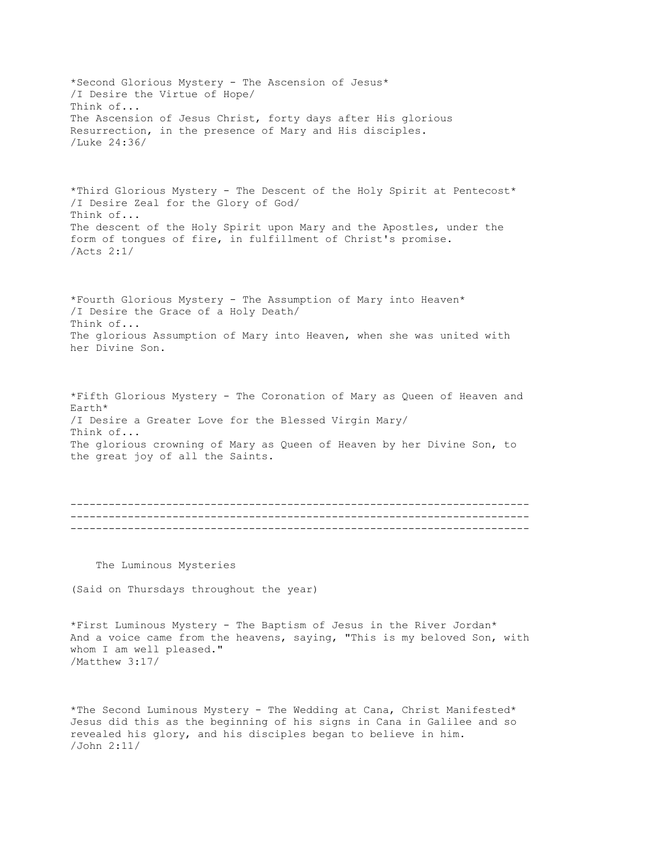\*Second Glorious Mystery - The Ascension of Jesus\* /I Desire the Virtue of Hope/ Think of... The Ascension of Jesus Christ, forty days after His glorious Resurrection, in the presence of Mary and His disciples. /Luke 24:36/ \*Third Glorious Mystery - The Descent of the Holy Spirit at Pentecost\* /I Desire Zeal for the Glory of God/ Think of... The descent of the Holy Spirit upon Mary and the Apostles, under the form of tongues of fire, in fulfillment of Christ's promise. /Acts 2:1/ \*Fourth Glorious Mystery - The Assumption of Mary into Heaven\* /I Desire the Grace of a Holy Death/ Think of... The glorious Assumption of Mary into Heaven, when she was united with her Divine Son. \*Fifth Glorious Mystery - The Coronation of Mary as Queen of Heaven and Earth\* /I Desire a Greater Love for the Blessed Virgin Mary/ Think of... The glorious crowning of Mary as Queen of Heaven by her Divine Son, to the great joy of all the Saints. ------------------------------------------------------------------------ ------------------------------------------------------------------------ ------------------------------------------------------------------------ The Luminous Mysteries (Said on Thursdays throughout the year)

\*First Luminous Mystery - The Baptism of Jesus in the River Jordan\* And a voice came from the heavens, saying, "This is my beloved Son, with whom I am well pleased." /Matthew 3:17/

\*The Second Luminous Mystery - The Wedding at Cana, Christ Manifested\* Jesus did this as the beginning of his signs in Cana in Galilee and so revealed his glory, and his disciples began to believe in him. /John 2:11/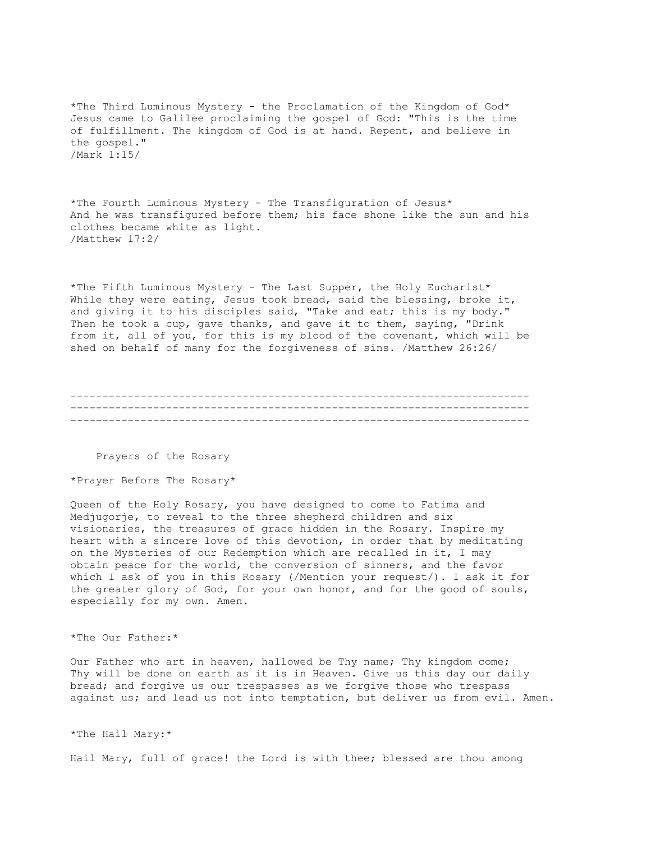\*The Third Luminous Mystery - the Proclamation of the Kingdom of God\* Jesus came to Galilee proclaiming the gospel of God: "This is the time of fulfillment. The kingdom of God is at hand. Repent, and believe in the gospel." /Mark 1:15/

\*The Fourth Luminous Mystery - The Transfiguration of Jesus\* And he was transfigured before them; his face shone like the sun and his clothes became white as light. /Matthew 17:2/

\*The Fifth Luminous Mystery - The Last Supper, the Holy Eucharist\* While they were eating, Jesus took bread, said the blessing, broke it, and giving it to his disciples said, "Take and eat; this is my body." Then he took a cup, gave thanks, and gave it to them, saying, "Drink from it, all of you, for this is my blood of the covenant, which will be shed on behalf of many for the forgiveness of sins. /Matthew 26:26/

------------------------------------------------------------------------ ------------------------------------------------------------------------ ------------------------------------------------------------------------

Prayers of the Rosary

\*Prayer Before The Rosary\*

Queen of the Holy Rosary, you have designed to come to Fatima and Medjugorje, to reveal to the three shepherd children and six visionaries, the treasures of grace hidden in the Rosary. Inspire my heart with a sincere love of this devotion, in order that by meditating on the Mysteries of our Redemption which are recalled in it, I may obtain peace for the world, the conversion of sinners, and the favor which I ask of you in this Rosary (/Mention your request/). I ask it for the greater glory of God, for your own honor, and for the good of souls, especially for my own. Amen.

\*The Our Father:\*

Our Father who art in heaven, hallowed be Thy name; Thy kingdom come; Thy will be done on earth as it is in Heaven. Give us this day our daily bread; and forgive us our trespasses as we forgive those who trespass against us; and lead us not into temptation, but deliver us from evil. Amen.

\*The Hail Mary:\*

Hail Mary, full of grace! the Lord is with thee; blessed are thou among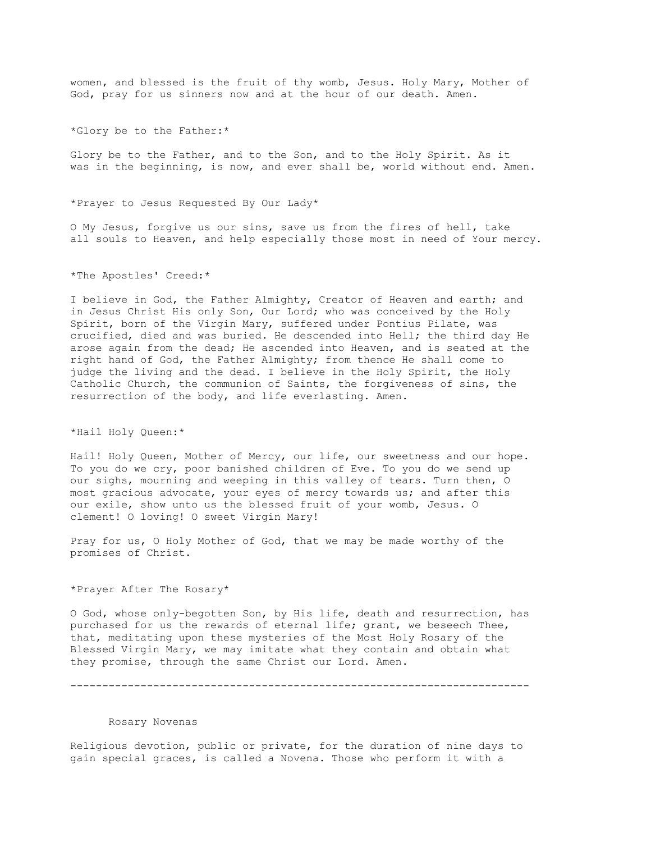women, and blessed is the fruit of thy womb, Jesus. Holy Mary, Mother of God, pray for us sinners now and at the hour of our death. Amen.

\*Glory be to the Father:\*

Glory be to the Father, and to the Son, and to the Holy Spirit. As it was in the beginning, is now, and ever shall be, world without end. Amen.

\*Prayer to Jesus Requested By Our Lady\*

O My Jesus, forgive us our sins, save us from the fires of hell, take all souls to Heaven, and help especially those most in need of Your mercy.

\*The Apostles' Creed:\*

I believe in God, the Father Almighty, Creator of Heaven and earth; and in Jesus Christ His only Son, Our Lord; who was conceived by the Holy Spirit, born of the Virgin Mary, suffered under Pontius Pilate, was crucified, died and was buried. He descended into Hell; the third day He arose again from the dead; He ascended into Heaven, and is seated at the right hand of God, the Father Almighty; from thence He shall come to judge the living and the dead. I believe in the Holy Spirit, the Holy Catholic Church, the communion of Saints, the forgiveness of sins, the resurrection of the body, and life everlasting. Amen.

\*Hail Holy Queen:\*

Hail! Holy Queen, Mother of Mercy, our life, our sweetness and our hope. To you do we cry, poor banished children of Eve. To you do we send up our sighs, mourning and weeping in this valley of tears. Turn then, O most gracious advocate, your eyes of mercy towards us; and after this our exile, show unto us the blessed fruit of your womb, Jesus. O clement! O loving! O sweet Virgin Mary!

Pray for us, O Holy Mother of God, that we may be made worthy of the promises of Christ.

\*Prayer After The Rosary\*

O God, whose only-begotten Son, by His life, death and resurrection, has purchased for us the rewards of eternal life; grant, we beseech Thee, that, meditating upon these mysteries of the Most Holy Rosary of the Blessed Virgin Mary, we may imitate what they contain and obtain what they promise, through the same Christ our Lord. Amen.

------------------------------------------------------------------------

## Rosary Novenas

Religious devotion, public or private, for the duration of nine days to gain special graces, is called a Novena. Those who perform it with a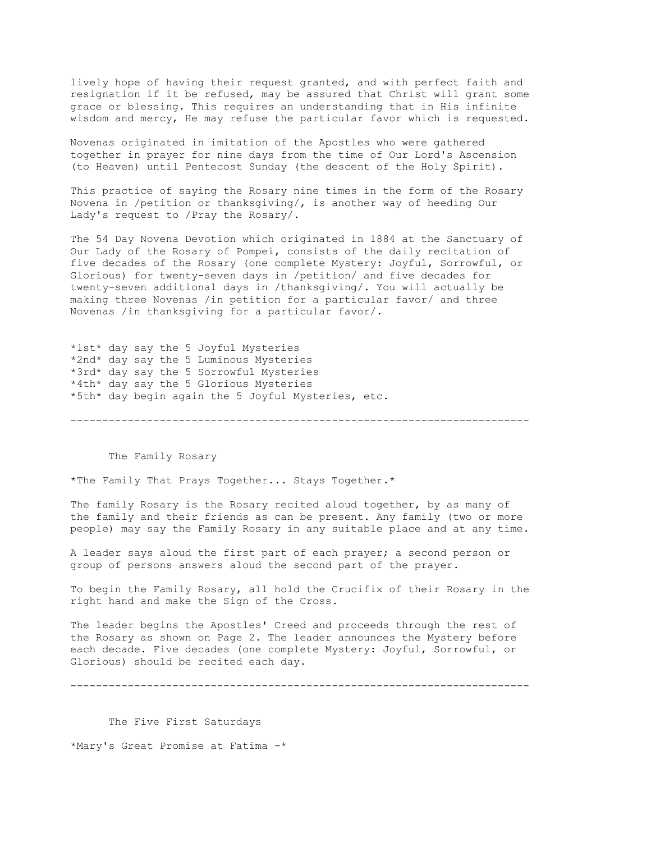lively hope of having their request granted, and with perfect faith and resignation if it be refused, may be assured that Christ will grant some grace or blessing. This requires an understanding that in His infinite wisdom and mercy, He may refuse the particular favor which is requested.

Novenas originated in imitation of the Apostles who were gathered together in prayer for nine days from the time of Our Lord's Ascension (to Heaven) until Pentecost Sunday (the descent of the Holy Spirit).

This practice of saying the Rosary nine times in the form of the Rosary Novena in /petition or thanksgiving/, is another way of heeding Our Lady's request to /Pray the Rosary/.

The 54 Day Novena Devotion which originated in 1884 at the Sanctuary of Our Lady of the Rosary of Pompei, consists of the daily recitation of five decades of the Rosary (one complete Mystery: Joyful, Sorrowful, or Glorious) for twenty-seven days in /petition/ and five decades for twenty-seven additional days in /thanksgiving/. You will actually be making three Novenas /in petition for a particular favor/ and three Novenas /in thanksgiving for a particular favor/.

\*1st\* day say the 5 Joyful Mysteries \*2nd\* day say the 5 Luminous Mysteries \*3rd\* day say the 5 Sorrowful Mysteries \*4th\* day say the 5 Glorious Mysteries \*5th\* day begin again the 5 Joyful Mysteries, etc.

The Family Rosary

\*The Family That Prays Together... Stays Together.\*

The family Rosary is the Rosary recited aloud together, by as many of the family and their friends as can be present. Any family (two or more people) may say the Family Rosary in any suitable place and at any time.

------------------------------------------------------------------------

A leader says aloud the first part of each prayer; a second person or group of persons answers aloud the second part of the prayer.

To begin the Family Rosary, all hold the Crucifix of their Rosary in the right hand and make the Sign of the Cross.

The leader begins the Apostles' Creed and proceeds through the rest of the Rosary as shown on Page 2. The leader announces the Mystery before each decade. Five decades (one complete Mystery: Joyful, Sorrowful, or Glorious) should be recited each day.

------------------------------------------------------------------------

 The Five First Saturdays \*Mary's Great Promise at Fatima -\*